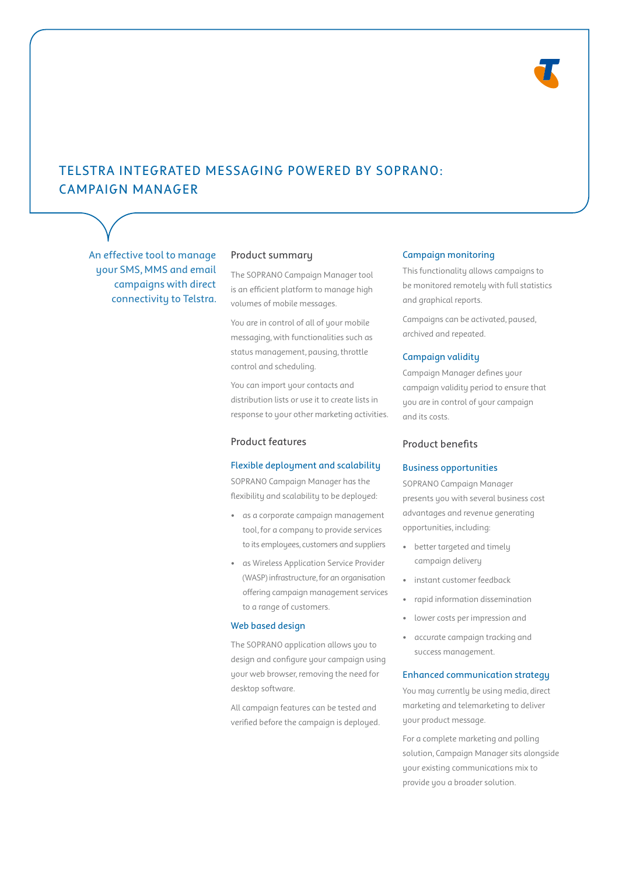

# TELSTRA INTEGRATED MESSAGING POWERED BY SOPRANO: CAMPAIGN MANAGER

An effective tool to manage your SMS, MMS and email campaigns with direct connectivity to Telstra.

## Product summary

The SOPRANO Campaign Manager tool is an efficient platform to manage high volumes of mobile messages.

You are in control of all of your mobile messaging, with functionalities such as status management, pausing, throttle control and scheduling.

You can import your contacts and distribution lists or use it to create lists in response to your other marketing activities.

## Product features

#### Flexible deployment and scalability

SOPRANO Campaign Manager has the flexibility and scalability to be deployed:

- as a corporate campaign management tool, for a company to provide services to its employees, customers and suppliers
- as Wireless Application Service Provider (WASP) infrastructure, for an organisation offering campaign management services to a range of customers.

### Web based design

The SOPRANO application allows you to design and configure your campaign using your web browser, removing the need for desktop software.

All campaign features can be tested and verified before the campaign is deployed.

### Campaign monitoring

This functionality allows campaigns to be monitored remotely with full statistics and graphical reports.

Campaigns can be activated, paused, archived and repeated.

### Campaign validity

Campaign Manager defines your campaign validity period to ensure that you are in control of your campaign and its costs.

## Product benefits

## Business opportunities

SOPRANO Campaign Manager presents you with several business cost advantages and revenue generating opportunities, including:

- better targeted and timely campaign delivery
- instant customer feedback
- rapid information dissemination
- lower costs per impression and
- accurate campaign tracking and success management.

### Enhanced communication strategy

You may currently be using media, direct marketing and telemarketing to deliver your product message.

For a complete marketing and polling solution, Campaign Manager sits alongside your existing communications mix to provide you a broader solution.